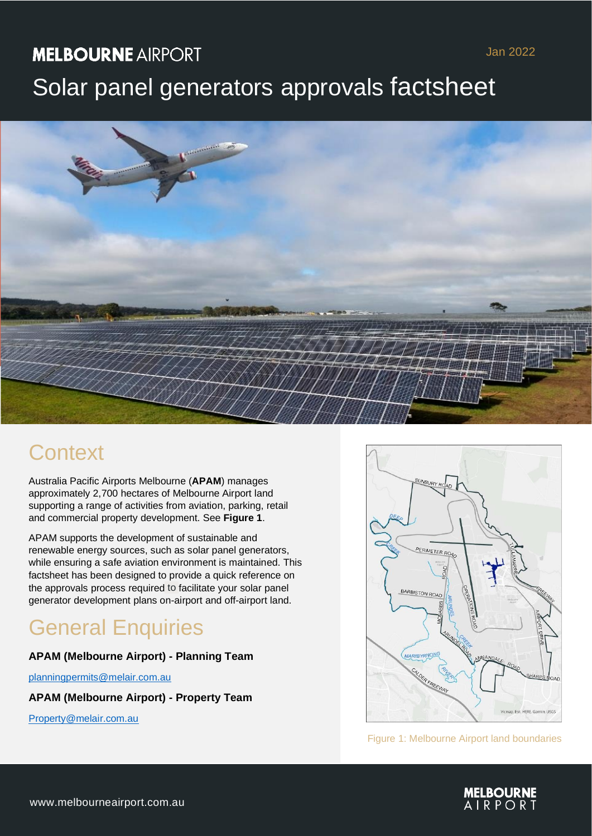## **MELBOURNE AIRPORT**

## Jan 2022

# Solar panel generators approvals factsheet



## **Context**

Australia Pacific Airports Melbourne (**APAM**) manages approximately 2,700 hectares of Melbourne Airport land supporting a range of activities from aviation, parking, retail and commercial property development. See **Figure 1**.

APAM supports the development of sustainable and renewable energy sources, such as solar panel generators, while ensuring a safe aviation environment is maintained. This factsheet has been designed to provide a quick reference on the approvals process required to facilitate your solar panel generator development plans on-airport and off-airport land.

# General Enquiries

## **APAM (Melbourne Airport) - Planning Team**

[planningpermits@melair.com.au](mailto:planningpermits@melair.com.au)

**APAM (Melbourne Airport) - Property Team**

Property@melair.com.au



Figure 1: Melbourne Airport land boundaries

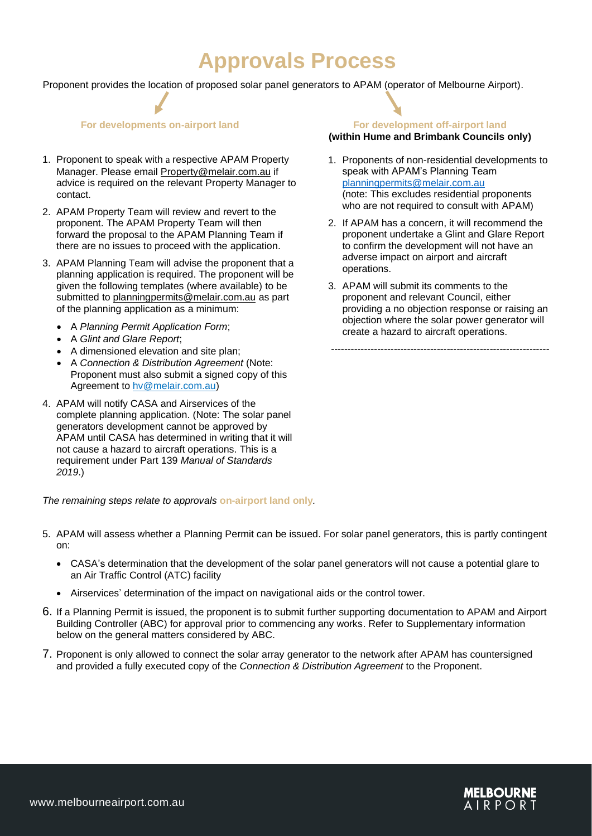## **Approvals Process**

Proponent provides the location of proposed solar panel generators to APAM (operator of Melbourne Airport).

- 1. Proponent to speak with a respective APAM Property Manager. Please email [Property@melair.com.au](mailto:Property@melair.com.au) if advice is required on the relevant Property Manager to contact.
- 2. APAM Property Team will review and revert to the proponent. The APAM Property Team will then forward the proposal to the APAM Planning Team if there are no issues to proceed with the application.
- 3. APAM Planning Team will advise the proponent that a planning application is required. The proponent will be given the following templates (where available) to be submitted to [planningpermits@melair.com.au](mailto:planningpermits@melair.com.au) as part of the planning application as a minimum:
	- A *Planning Permit Application Form*;
	- A *Glint and Glare Report*;
	- A dimensioned elevation and site plan;
	- A *Connection & Distribution Agreement* (Note: Proponent must also submit a signed copy of this Agreement to [hv@melair.com.au\)](mailto:hv@melair.com.au)
- 4. APAM will notify CASA and Airservices of the complete planning application. (Note: The solar panel generators development cannot be approved by APAM until CASA has determined in writing that it will not cause a hazard to aircraft operations. This is a requirement under Part 139 *Manual of Standards 2019*.)

### *The remaining steps relate to approvals* **on-airport land only***.*

- 5. APAM will assess whether a Planning Permit can be issued. For solar panel generators, this is partly contingent on:
	- CASA's determination that the development of the solar panel generators will not cause a potential glare to an Air Traffic Control (ATC) facility
	- Airservices' determination of the impact on navigational aids or the control tower.
- 6. If a Planning Permit is issued, the proponent is to submit further supporting documentation to APAM and Airport Building Controller (ABC) for approval prior to commencing any works. Refer to Supplementary information below on the general matters considered by ABC.
- 7. Proponent is only allowed to connect the solar array generator to the network after APAM has countersigned and provided a fully executed copy of the *Connection & Distribution Agreement* to the Proponent.

### **For developments on-airport land For development off-airport land (within Hume and Brimbank Councils only)**

- 1. Proponents of non-residential developments to speak with APAM's Planning Team [planningpermits@melair.com.au](mailto:planningpermits@melair.com.au) (note: This excludes residential proponents who are not required to consult with APAM)
- 2. If APAM has a concern, it will recommend the proponent undertake a Glint and Glare Report to confirm the development will not have an adverse impact on airport and aircraft operations.
- 3. APAM will submit its comments to the proponent and relevant Council, either providing a no objection response or raising an objection where the solar power generator will create a hazard to aircraft operations.

------------------------------------------------------------------